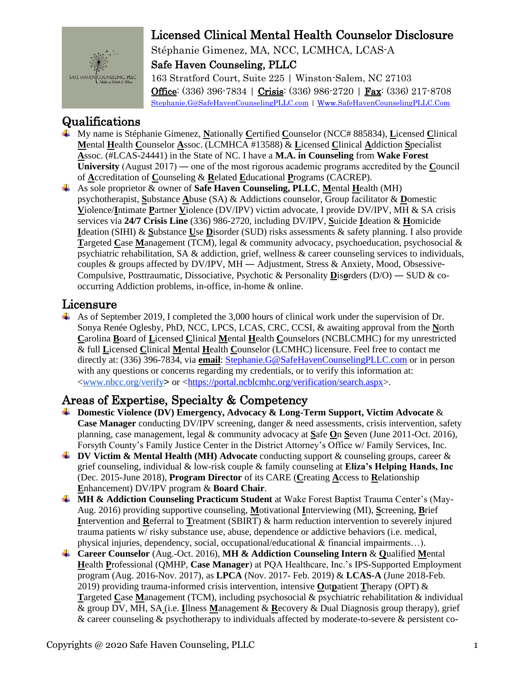

Stéphanie Gimenez, MA, NCC, LCMHCA, LCAS-A Safe Haven Counseling, PLLC 163 Stratford Court, Suite 225 | Winston-Salem, NC 27103 Office: (336) 396-7834 | Crisis: (336) 986-2720 | Fax: (336) 217-8708 Stephanie.G@SafeHavenCounselingPLLC.com | Www.SafeHavenCounselingPLLC.Com

## Qualifications

- $\ddot{\bullet}$  My name is Stéphanie Gimenez. Nationally Certified Counselor (NCC# 885834). Licensed Clinical Mental Health Counselor Assoc. (LCMHCA #13588) & Licensed Clinical Addiction Specialist Assoc. (#LCAS-24441) in the State of NC. I have a M.A. in Counseling from Wake Forest University (August  $2017$ ) — one of the most rigorous academic programs accredited by the Council of Accreditation of Counseling & Related Educational Programs (CACREP).
- As sole proprietor  $\&$  owner of **Safe Haven Counseling, PLLC**, Mental Health (MH) psychotherapist, Substance Abuse (SA) & Addictions counselor, Group facilitator & Domestic Violence/Intimate Partner Violence (DV/IPV) victim advocate, I provide DV/IPV, MH & SA crisis services via 24/7 Crisis Line (336) 986-2720, including DV/IPV, Suicide Ideation & Homicide Ideation (SIHI) & Substance Use Disorder (SUD) risks assessments & safety planning. I also provide Targeted Case Management (TCM), legal & community advocacy, psychoeducation, psychosocial & psychiatric rehabilitation, SA & addiction, grief, wellness & career counseling services to individuals, couples & groups affected by DV/IPV, MH — Adjustment, Stress & Anxiety, Mood, Obsessive-Compulsive, Posttraumatic, Dissociative, Psychotic & Personality Disorders ( $D/O$ ) — SUD & cooccurring Addiction problems, in-office, in-home & online.

#### Licensure

As of September 2019, I completed the 3,000 hours of clinical work under the supervision of Dr. Sonya Renée Oglesby, PhD, NCC, LPCS, LCAS, CRC, CCSI, & awaiting approval from the North Carolina Board of Licensed Clinical Mental Health Counselors (NCBLCMHC) for my unrestricted & full Licensed Clinical Mental Health Counselor (LCMHC) licensure. Feel free to contact me directly at: (336) 396-7834, via email: Stephanie.G@SafeHavenCounselingPLLC.com or in person with any questions or concerns regarding my credentials, or to verify this information at: <www.nbcc.org/verify> or <https://portal.ncblcmhc.org/verification/search.aspx>.

## Areas of Expertise, Specialty & Competency

- $\perp$  Domestic Violence (DV) Emergency, Advocacy & Long-Term Support, Victim Advocate & **Case Manager** conducting DV/IPV screening, danger & need assessments, crisis intervention, safety planning, case management, legal  $\&$  community advocacy at Safe On Seven (June 2011-Oct. 2016), Forsyth County's Family Justice Center in the District Attorney's Office w/ Family Services, Inc.
- **UPPENDIA** DV Victim & Mental Health (MH) Advocate conducting support & counseling groups, career & grief counseling, individual  $\&$  low-risk couple  $\&$  family counseling at Eliza's Helping Hands, Inc (Dec. 2015-June 2018), Program Director of its CARE (Creating Access to Relationship Enhancement) DV/IPV program & Board Chair.
- **H** MH & Addiction Counseling Practicum Student at Wake Forest Baptist Trauma Center's (May-Aug. 2016) providing supportive counseling, Motivational Interviewing (MI), Screening, Brief Intervention and Referral to Treatment (SBIRT) & harm reduction intervention to severely injured trauma patients w/risky substance use, abuse, dependence or addictive behaviors (i.e. medical, physical injuries, dependency, social, occupational/educational  $\&$  financial impairments...).
- **4** Career Counselor (Aug.-Oct. 2016), MH & Addiction Counseling Intern & Qualified Mental Health Professional (OMHP, Case Manager) at POA Healthcare, Inc.'s IPS-Supported Employment program (Aug. 2016-Nov. 2017), as LPCA (Nov. 2017- Feb. 2019) & LCAS-A (June 2018-Feb. 2019) providing trauma-informed crisis intervention, intensive Outpatient Therapy (OPT)  $\&$ Targeted Case Management (TCM), including psychosocial & psychiatric rehabilitation & individual & group DV, MH, SA (i.e. Illness Management & Recovery & Dual Diagnosis group therapy), grief & career counseling & psychotherapy to individuals affected by moderate-to-severe & persistent co-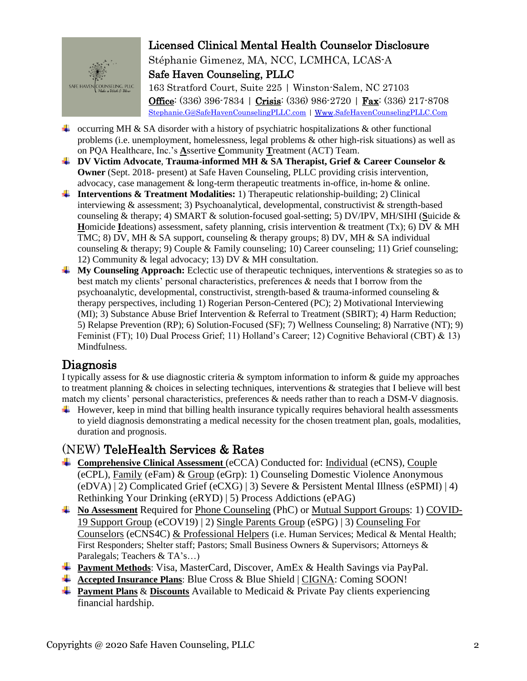

Stéphanie Gimenez, MA, NCC, LCMHCA, LCAS-A Safe Haven Counseling, PLLC

163 Stratford Court, Suite 225 | Winston-Salem, NC 27103 Office: (336) 396-7834 | Crisis: (336) 986-2720 | Fax: (336) 217-8708 [Stephanie.G@SafeHavenCounselingPLLC.com](mailto:Stephanie.G@SafeHavenCounselingPLLC.com) | Www.SafeHavenCounselingPLLC.Com

- **L** occurring MH & SA disorder with a history of psychiatric hospitalizations & other functional problems (i.e. unemployment, homelessness, legal problems & other high-risk situations) as well as on PQA Healthcare, Inc.'s **A**ssertive **C**ommunity **T**reatment (ACT) Team.
- **DV Victim Advocate**, **Trauma-informed MH & SA Therapist, Grief & Career Counselor & Owner** (Sept. 2018- present) at Safe Haven Counseling, PLLC providing crisis intervention, advocacy, case management & long-term therapeutic treatments in-office, in-home & online.
- **Interventions & Treatment Modalities:** 1) Therapeutic relationship-building; 2) Clinical interviewing & assessment; 3) Psychoanalytical, developmental, constructivist & strength-based counseling & therapy; 4) SMART & solution-focused goal-setting; 5) DV/IPV, MH/SIHI (**S**uicide & **H**omicide **I**deations) assessment, safety planning, crisis intervention & treatment (Tx); 6) DV & MH TMC; 8) DV, MH & SA support, counseling & therapy groups; 8) DV, MH & SA individual counseling & therapy; 9) Couple & Family counseling; 10) Career counseling; 11) Grief counseling; 12) Community & legal advocacy; 13) DV & MH consultation.
- **My Counseling Approach:** Eclectic use of therapeutic techniques, interventions & strategies so as to best match my clients' personal characteristics, preferences & needs that I borrow from the psychoanalytic, developmental, constructivist, strength-based & trauma-informed counseling  $\&$ therapy perspectives, including 1) Rogerian Person-Centered (PC); 2) Motivational Interviewing (MI); 3) Substance Abuse Brief Intervention & Referral to Treatment (SBIRT); 4) Harm Reduction; 5) Relapse Prevention (RP); 6) Solution-Focused (SF); 7) Wellness Counseling; 8) Narrative (NT); 9) Feminist (FT); 10) Dual Process Grief; 11) Holland's Career; 12) Cognitive Behavioral (CBT) & 13) Mindfulness.

## Diagnosis

I typically assess for  $\&$  use diagnostic criteria  $\&$  symptom information to inform  $\&$  guide my approaches to treatment planning & choices in selecting techniques, interventions & strategies that I believe will best match my clients' personal characteristics, preferences & needs rather than to reach a DSM-V diagnosis.

 $\ddot{\text{H}}$  However, keep in mind that billing health insurance typically requires behavioral health assessments to yield diagnosis demonstrating a medical necessity for the chosen treatment plan, goals, modalities, duration and prognosis.

# (NEW) TeleHealth Services & Rates

- **Comprehensive Clinical Assessment** (eCCA) Conducted for: Individual (eCNS), Couple (eCPL), Family (eFam) & Group (eGrp): 1) Counseling Domestic Violence Anonymous (eDVA) | 2) Complicated Grief (eCXG) | 3) Severe & Persistent Mental Illness (eSPMI) | 4) Rethinking Your Drinking (eRYD) | 5) Process Addictions (ePAG)
- **No Assessment** Required for Phone Counseling (PhC) or Mutual Support Groups: 1) COVID-19 Support Group (eCOV19) | 2) Single Parents Group (eSPG) | 3) Counseling For Counselors (eCNS4C) & Professional Helpers (i.e. Human Services; Medical & Mental Health; First Responders; Shelter staff; Pastors; Small Business Owners & Supervisors; Attorneys & Paralegals; Teachers & TA's…)
- **Payment Methods**: Visa, MasterCard, Discover, AmEx & Health Savings via PayPal.
- **Accepted Insurance Plans**: Blue Cross & Blue Shield | CIGNA: Coming SOON!
- **Payment Plans** & **Discounts** Available to Medicaid & Private Pay clients experiencing financial hardship.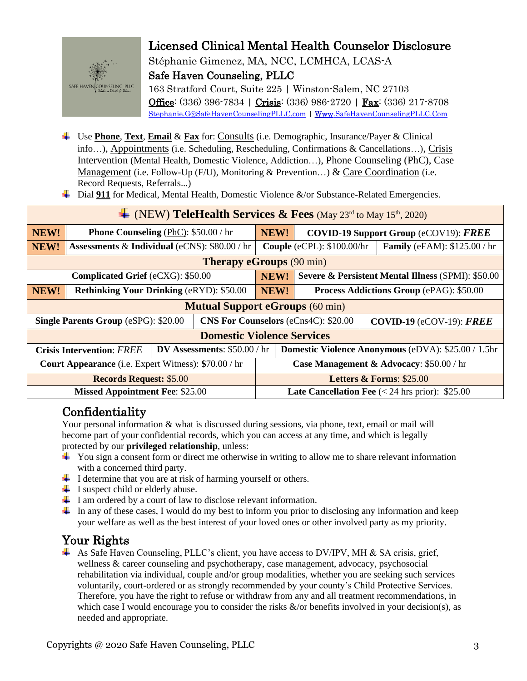

Stéphanie Gimenez, MA, NCC, LCMHCA, LCAS-A Safe Haven Counseling, PLLC

163 Stratford Court, Suite 225 | Winston-Salem, NC 27103 Office: (336) 396-7834 | Crisis: (336) 986-2720 | Fax: (336) 217-8708 [Stephanie.G@SafeHavenCounselingPLLC.com](mailto:Stephanie.G@SafeHavenCounselingPLLC.com) | Www.SafeHavenCounselingPLLC.Com

- Use **Phone**, **Text**, **Email** & **Fax** for: Consults (i.e. Demographic, Insurance/Payer & Clinical info…), Appointments (i.e. Scheduling, Rescheduling, Confirmations & Cancellations…), Crisis Intervention (Mental Health, Domestic Violence, Addiction…), Phone Counseling (PhC), Case Management (i.e. Follow-Up (F/U), Monitoring & Prevention...) & Care Coordination (i.e. Record Requests, Referrals...)
- ↓ Dial 911 for Medical, Mental Health, Domestic Violence &/or Substance-Related Emergencies.

| $\downarrow$ (NEW) TeleHealth Services & Fees (May 23rd to May 15th, 2020) |                                                          |  |  |                                                                   |                                                               |  |  |  |
|----------------------------------------------------------------------------|----------------------------------------------------------|--|--|-------------------------------------------------------------------|---------------------------------------------------------------|--|--|--|
| NEW!                                                                       | <b>Phone Counseling (PhC): \$50.00 / hr</b>              |  |  | NEW!                                                              | <b>COVID-19 Support Group (eCOV19): FREE</b>                  |  |  |  |
| NEW!                                                                       | <b>Assessments &amp; Individual (eCNS): \$80.00 / hr</b> |  |  | Couple (eCPL): \$100.00/hr<br><b>Family</b> (eFAM): \$125.00 / hr |                                                               |  |  |  |
| <b>Therapy eGroups</b> (90 min)                                            |                                                          |  |  |                                                                   |                                                               |  |  |  |
| Complicated Grief (eCXG): \$50.00                                          |                                                          |  |  | NEW!                                                              | <b>Severe &amp; Persistent Mental Illness (SPMI): \$50.00</b> |  |  |  |
| NEW!                                                                       | <b>Rethinking Your Drinking (eRYD): \$50.00</b>          |  |  | NEW!                                                              | <b>Process Addictions Group (ePAG): \$50.00</b>               |  |  |  |
| <b>Mutual Support eGroups (60 min)</b>                                     |                                                          |  |  |                                                                   |                                                               |  |  |  |
| <b>Single Parents Group (eSPG): \$20.00</b>                                |                                                          |  |  | <b>CNS For Counselors (eCns4C): \$20.00</b>                       | COVID-19 (eCOV-19): $\textit{FREE}$                           |  |  |  |
| <b>Domestic Violence Services</b>                                          |                                                          |  |  |                                                                   |                                                               |  |  |  |
| DV Assessments: $$50.00 / hr$<br><b>Crisis Intervention: FREE</b>          |                                                          |  |  | Domestic Violence Anonymous (eDVA): \$25.00 / 1.5hr               |                                                               |  |  |  |
| <b>Court Appearance</b> (i.e. Expert Witness): \$70.00 / hr                |                                                          |  |  | Case Management & Advocacy: \$50.00 / hr                          |                                                               |  |  |  |
| <b>Records Request: \$5.00</b>                                             |                                                          |  |  | Letters & Forms: \$25.00                                          |                                                               |  |  |  |
| <b>Missed Appointment Fee: \$25.00</b>                                     |                                                          |  |  | <b>Late Cancellation Fee</b> $(< 24$ hrs prior): \$25.00          |                                                               |  |  |  |

# Confidentiality

Your personal information & what is discussed during sessions, via phone, text, email or mail will become part of your confidential records, which you can access at any time, and which is legally protected by our **privileged relationship**, unless:

- $\ddot{\bullet}$  You sign a consent form or direct me otherwise in writing to allow me to share relevant information with a concerned third party.
- $\downarrow$  I determine that you are at risk of harming yourself or others.
- $\ddot{\bullet}$  I suspect child or elderly abuse.
- $\perp$  I am ordered by a court of law to disclose relevant information.
- In any of these cases, I would do my best to inform you prior to disclosing any information and keep your welfare as well as the best interest of your loved ones or other involved party as my priority.

#### Your Rights

As Safe Haven Counseling, PLLC's client, you have access to DV/IPV, MH & SA crisis, grief, wellness & career counseling and psychotherapy, case management, advocacy, psychosocial rehabilitation via individual, couple and/or group modalities, whether you are seeking such services voluntarily, court-ordered or as strongly recommended by your county's Child Protective Services. Therefore, you have the right to refuse or withdraw from any and all treatment recommendations, in which case I would encourage you to consider the risks  $\&/$  or benefits involved in your decision(s), as needed and appropriate.